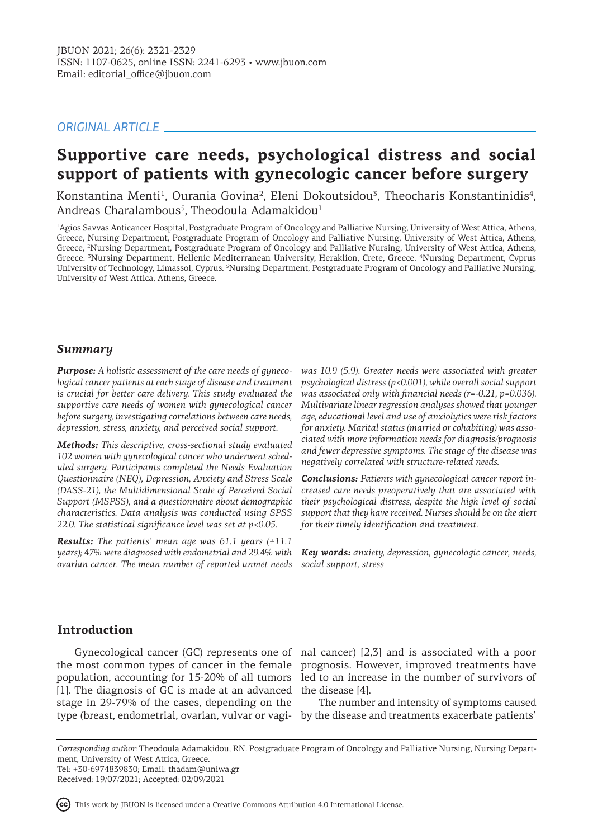# *ORIGINAL ARTICLE*

# **Supportive care needs, psychological distress and social support of patients with gynecologic cancer before surgery**

Konstantina Menti<sup>1</sup>, Ourania Govina<sup>2</sup>, Eleni Dokoutsidou<sup>3</sup>, Theocharis Konstantinidis<sup>4</sup>, Andreas Charalambous<sup>5</sup>, Theodoula Adamakidou<sup>1</sup>

1 Agios Savvas Anticancer Hospital, Postgraduate Program of Oncology and Palliative Nursing, University of West Attica, Athens, Greece, Nursing Department, Postgraduate Program of Oncology and Palliative Nursing, University of West Attica, Athens, Greece, <sup>2</sup> Nursing Department, Postgraduate Program of Oncology and Palliative Nursing, University of West Attica, Athens, Greece. <sup>3</sup>Nursing Department, Hellenic Mediterranean University, Heraklion, Crete, Greece. <sup>4</sup>Nursing Department, Cyprus University of Technology, Limassol, Cyprus. <sup>5</sup>Nursing Department, Postgraduate Program of Oncology and Palliative Nursing, University of West Attica, Athens, Greece.

### *Summary*

*Purpose: A holistic assessment of the care needs of gynecological cancer patients at each stage of disease and treatment is crucial for better care delivery. This study evaluated the supportive care needs of women with gynecological cancer before surgery, investigating correlations between care needs, depression, stress, anxiety, and perceived social support.*

*Methods: This descriptive, cross-sectional study evaluated 102 women with gynecological cancer who underwent scheduled surgery. Participants completed the Needs Evaluation Questionnaire (NEQ), Depression, Anxiety and Stress Scale (DASS-21), the Multidimensional Scale of Perceived Social Support (MSPSS), and a questionnaire about demographic characteristics. Data analysis was conducted using SPSS 22.0. The statistical significance level was set at p<0.05.*

*Results: The patients' mean age was 61.1 years (±11.1 years); 47% were diagnosed with endometrial and 29.4% with ovarian cancer. The mean number of reported unmet needs* 

*was 10.9 (5.9). Greater needs were associated with greater psychological distress (p<0.001), while overall social support was associated only with financial needs (r=-0.21, p=0.036). Multivariate linear regression analyses showed that younger age, educational level and use of anxiolytics were risk factors for anxiety. Marital status (married or cohabiting) was associated with more information needs for diagnosis/prognosis and fewer depressive symptoms. The stage of the disease was negatively correlated with structure-related needs.*

*Conclusions: Patients with gynecological cancer report increased care needs preoperatively that are associated with their psychological distress, despite the high level of social support that they have received. Nurses should be on the alert for their timely identification and treatment.* 

*Key words: anxiety, depression, gynecologic cancer, needs, social support, stress*

# **Introduction**

[1]. The diagnosis of GC is made at an advanced stage in 29-79% of the cases, depending on the

Gynecological cancer (GC) represents one of nal cancer) [2,3] and is associated with a poor the most common types of cancer in the female prognosis. However, improved treatments have population, accounting for 15-20% of all tumors led to an increase in the number of survivors of the disease [4].

type (breast, endometrial, ovarian, vulvar or vagi-by the disease and treatments exacerbate patients' The number and intensity of symptoms caused

*Corresponding author:* Theodoula Adamakidou, RN. Postgraduate Program of Oncology and Palliative Nursing, Nursing Department, University of West Attica, Greece. Tel: +30-6974839830; Email: thadam@uniwa.gr

Received: 19/07/2021; Accepted: 02/09/2021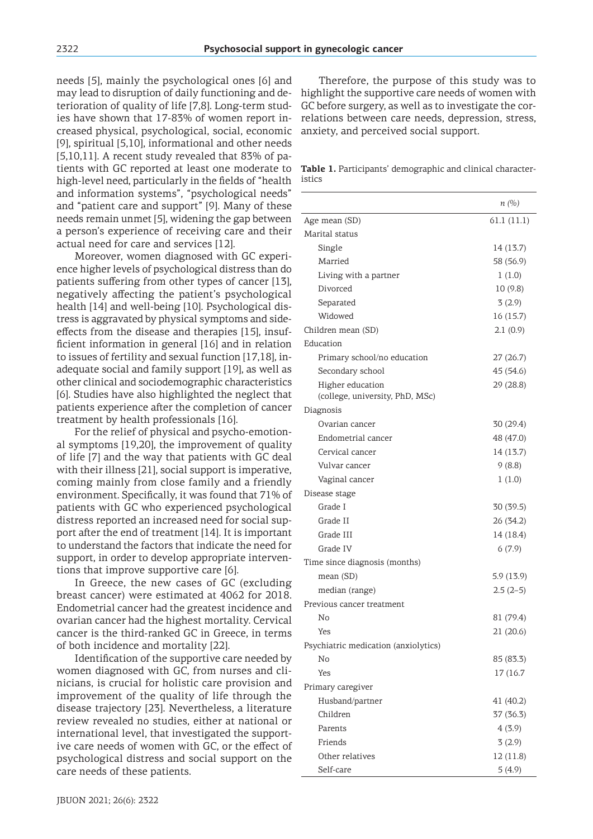needs [5], mainly the psychological ones [6] and may lead to disruption of daily functioning and deterioration of quality of life [7,8]. Long-term studies have shown that 17-83% of women report increased physical, psychological, social, economic [9], spiritual [5,10], informational and other needs  $[5,10,11]$ . A recent study revealed that 83% of patients with GC reported at least one moderate to high-level need, particularly in the fields of "health and information systems", "psychological needs" and "patient care and support" [9]. Many of these needs remain unmet [5], widening the gap between a person's experience of receiving care and their actual need for care and services [12].

Moreover, women diagnosed with GC experience higher levels of psychological distress than do patients suffering from other types of cancer [13], negatively affecting the patient's psychological health [14] and well-being [10]. Psychological distress is aggravated by physical symptoms and sideeffects from the disease and therapies [15], insufficient information in general [16] and in relation to issues of fertility and sexual function [17,18], inadequate social and family support [19], as well as other clinical and sociodemographic characteristics [6]. Studies have also highlighted the neglect that patients experience after the completion of cancer treatment by health professionals [16].

For the relief of physical and psycho-emotional symptoms [19,20], the improvement of quality of life [7] and the way that patients with GC deal with their illness [21], social support is imperative, coming mainly from close family and a friendly environment. Specifically, it was found that 71% of patients with GC who experienced psychological distress reported an increased need for social support after the end of treatment [14]. It is important to understand the factors that indicate the need for support, in order to develop appropriate interventions that improve supportive care [6].

In Greece, the new cases of GC (excluding breast cancer) were estimated at 4062 for 2018. Endometrial cancer had the greatest incidence and ovarian cancer had the highest mortality. Cervical cancer is the third-ranked GC in Greece, in terms of both incidence and mortality [22].

Identification of the supportive care needed by women diagnosed with GC, from nurses and clinicians, is crucial for holistic care provision and improvement of the quality of life through the disease trajectory [23]. Nevertheless, a literature review revealed no studies, either at national or international level, that investigated the supportive care needs of women with GC, or the effect of psychological distress and social support on the care needs of these patients.

Therefore, the purpose of this study was to highlight the supportive care needs of women with GC before surgery, as well as to investigate the correlations between care needs, depression, stress, anxiety, and perceived social support.

**Table 1.** Participants' demographic and clinical characteristics

|                                                     | $n(\%)$    |
|-----------------------------------------------------|------------|
| Age mean (SD)                                       | 61.1(11.1) |
| Marital status                                      |            |
| Single                                              | 14 (13.7)  |
| Married                                             | 58 (56.9)  |
| Living with a partner                               | 1(1.0)     |
| Divorced                                            | 10(9.8)    |
| Separated                                           | 3(2.9)     |
| Widowed                                             | 16 (15.7)  |
| Children mean (SD)                                  | 2.1(0.9)   |
| Education                                           |            |
| Primary school/no education                         | 27 (26.7)  |
| Secondary school                                    | 45 (54.6)  |
| Higher education<br>(college, university, PhD, MSc) | 29 (28.8)  |
| Diagnosis                                           |            |
| Ovarian cancer                                      | 30 (29.4)  |
| Endometrial cancer                                  | 48 (47.0)  |
| Cervical cancer                                     | 14 (13.7)  |
| Vulvar cancer                                       | 9(8.8)     |
| Vaginal cancer                                      | 1(1.0)     |
| Disease stage                                       |            |
| Grade I                                             | 30 (39.5)  |
| Grade II                                            | 26 (34.2)  |
| Grade III                                           | 14 (18.4)  |
| Grade IV                                            | 6(7.9)     |
| Time since diagnosis (months)                       |            |
| mean (SD)                                           | 5.9(13.9)  |
| median (range)                                      | $2.5(2-5)$ |
| Previous cancer treatment                           |            |
| No                                                  | 81 (79.4)  |
| Yes                                                 | 21(20.6)   |
| Psychiatric medication (anxiolytics)                |            |
| No                                                  | 85 (83.3)  |
| Yes                                                 | 17 (16.7)  |
| Primary caregiver                                   |            |
| Husband/partner                                     | 41 (40.2)  |
| Children                                            | 37 (36.3)  |
| Parents                                             | 4(3.9)     |
| Friends                                             | 3(2.9)     |
| Other relatives                                     | 12 (11.8)  |
| Self-care                                           | 5(4.9)     |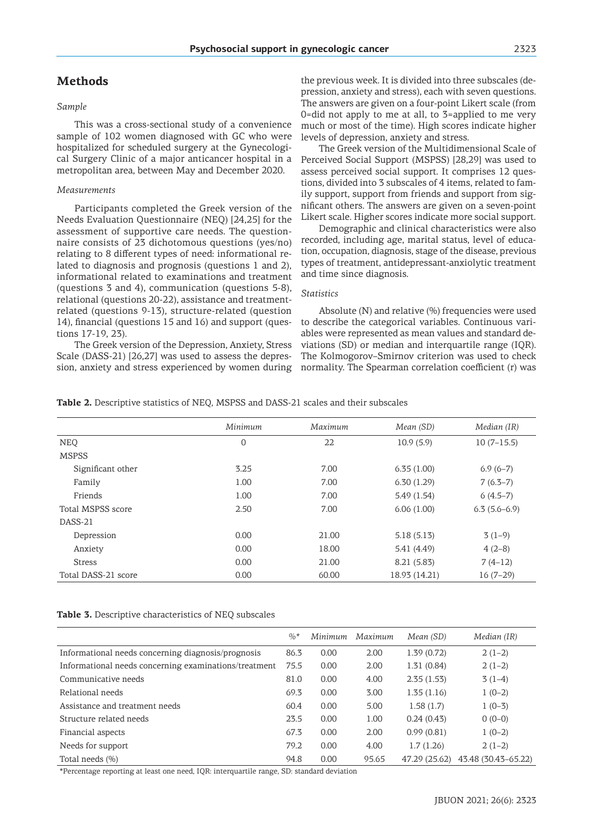# **Methods**

#### *Sample*

This was a cross-sectional study of a convenience sample of 102 women diagnosed with GC who were hospitalized for scheduled surgery at the Gynecological Surgery Clinic of a major anticancer hospital in a metropolitan area, between May and December 2020.

#### *Measurements*

Participants completed the Greek version of the Needs Evaluation Questionnaire (NEQ) [24,25] for the assessment of supportive care needs. The questionnaire consists of 23 dichotomous questions (yes/no) relating to 8 different types of need: informational related to diagnosis and prognosis (questions 1 and 2), informational related to examinations and treatment (questions 3 and 4), communication (questions 5-8), relational (questions 20-22), assistance and treatmentrelated (questions 9-13), structure-related (question 14), financial (questions 15 and 16) and support (questions 17-19, 23).

The Greek version of the Depression, Anxiety, Stress Scale (DASS-21) [26,27] was used to assess the depression, anxiety and stress experienced by women during

the previous week. It is divided into three subscales (depression, anxiety and stress), each with seven questions. The answers are given on a four-point Likert scale (from 0=did not apply to me at all, to 3=applied to me very much or most of the time). High scores indicate higher levels of depression, anxiety and stress.

The Greek version of the Multidimensional Scale of Perceived Social Support (MSPSS) [28,29] was used to assess perceived social support. It comprises 12 questions, divided into 3 subscales of 4 items, related to family support, support from friends and support from significant others. The answers are given on a seven-point Likert scale. Higher scores indicate more social support.

Demographic and clinical characteristics were also recorded, including age, marital status, level of education, occupation, diagnosis, stage of the disease, previous types of treatment, antidepressant-anxiolytic treatment and time since diagnosis.

#### *Statistics*

Absolute (N) and relative (%) frequencies were used to describe the categorical variables. Continuous variables were represented as mean values and standard deviations (SD) or median and interquartile range (IQR). The Kolmogorov–Smirnov criterion was used to check normality. The Spearman correlation coefficient (r) was

**Table 2.** Descriptive statistics of NEQ, MSPSS and DASS-21 scales and their subscales

|                     | Minimum        | Maximum | Mean (SD)     | Median (IR)    |
|---------------------|----------------|---------|---------------|----------------|
| <b>NEO</b>          | $\overline{0}$ | 22      | 10.9(5.9)     | $10(7-15.5)$   |
| <b>MSPSS</b>        |                |         |               |                |
| Significant other   | 3.25           | 7.00    | 6.35(1.00)    | $6.9(6-7)$     |
| Family              | 1.00           | 7.00    | 6.30(1.29)    | $7(6.3-7)$     |
| Friends             | 1.00           | 7.00    | 5.49(1.54)    | $6(4.5-7)$     |
| Total MSPSS score   | 2.50           | 7.00    | 6.06(1.00)    | $6.3(5.6-6.9)$ |
| DASS-21             |                |         |               |                |
| Depression          | 0.00           | 21.00   | 5.18(5.13)    | $3(1-9)$       |
| Anxiety             | 0.00           | 18.00   | 5.41 (4.49)   | $4(2-8)$       |
| <b>Stress</b>       | 0.00           | 21.00   | 8.21 (5.83)   | $7(4-12)$      |
| Total DASS-21 score | 0.00           | 60.00   | 18.93 (14.21) | $16(7-29)$     |

| Table 3. Descriptive characteristics of NEQ subscales |  |
|-------------------------------------------------------|--|
|-------------------------------------------------------|--|

|                                                       | $\frac{0}{6}$ * | Minimum | Maximum | Mean (SD)     | Median (IR)         |
|-------------------------------------------------------|-----------------|---------|---------|---------------|---------------------|
| Informational needs concerning diagnosis/prognosis    | 86.3            | 0.00    | 2.00    | 1.39(0.72)    | $2(1-2)$            |
| Informational needs concerning examinations/treatment | 75.5            | 0.00    | 2.00    | 1.31(0.84)    | $2(1-2)$            |
| Communicative needs                                   | 81.0            | 0.00    | 4.00    | 2.35(1.53)    | $3(1-4)$            |
| Relational needs                                      | 69.3            | 0.00    | 3.00    | 1.35(1.16)    | $1(0-2)$            |
| Assistance and treatment needs                        | 60.4            | 0.00    | 5.00    | 1.58(1.7)     | $1(0-3)$            |
| Structure related needs                               | 23.5            | 0.00    | 1.00    | 0.24(0.43)    | $0(0-0)$            |
| Financial aspects                                     | 67.3            | 0.00    | 2.00    | 0.99(0.81)    | $1(0-2)$            |
| Needs for support                                     | 79.2            | 0.00    | 4.00    | 1.7(1.26)     | $2(1-2)$            |
| Total needs (%)                                       | 94.8            | 0.00    | 95.65   | 47.29 (25.62) | 43.48 (30.43-65.22) |

\*Percentage reporting at least one need, IQR: interquartile range, SD: standard deviation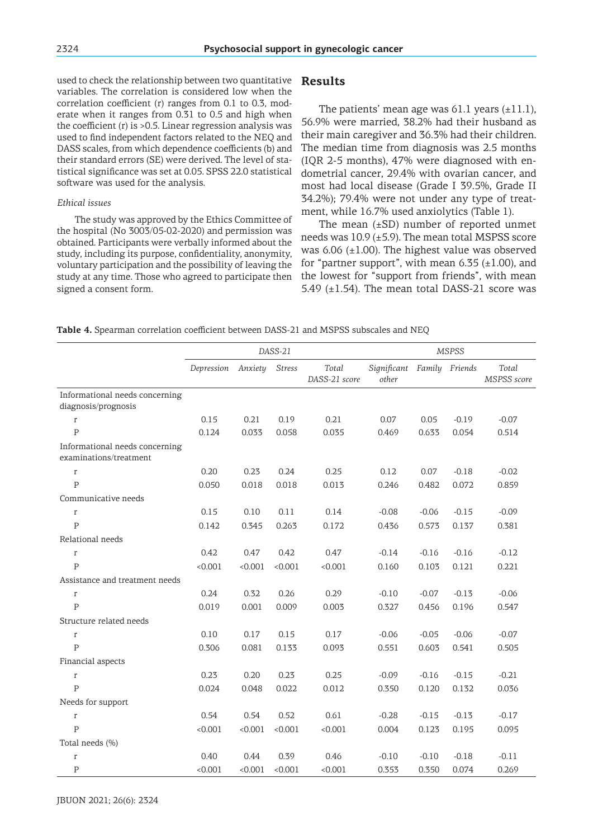used to check the relationship between two quantitative variables. The correlation is considered low when the correlation coefficient (r) ranges from 0.1 to 0.3, moderate when it ranges from 0.31 to 0.5 and high when the coefficient  $(r)$  is  $>0.5$ . Linear regression analysis was used to find independent factors related to the NEQ and DASS scales, from which dependence coefficients (b) and their standard errors (SE) were derived. The level of statistical significance was set at 0.05. SPSS 22.0 statistical software was used for the analysis.

#### *Ethical issues*

The study was approved by the Ethics Committee of the hospital (No 3003/05-02-2020) and permission was obtained. Participants were verbally informed about the study, including its purpose, confidentiality, anonymity, voluntary participation and the possibility of leaving the study at any time. Those who agreed to participate then signed a consent form.

## **Results**

The patients' mean age was  $61.1$  years  $(\pm 11.1)$ , 56.9% were married, 38.2% had their husband as their main caregiver and 36.3% had their children. The median time from diagnosis was 2.5 months (IQR 2-5 months), 47% were diagnosed with endometrial cancer, 29.4% with ovarian cancer, and most had local disease (Grade I 39.5%, Grade II 34.2%); 79.4% were not under any type of treatment, while 16.7% used anxiolytics (Table 1).

The mean  $(\pm SD)$  number of reported unmet needs was  $10.9$  ( $\pm$ 5.9). The mean total MSPSS score was  $6.06$  ( $\pm 1.00$ ). The highest value was observed for "partner support", with mean  $6.35$  ( $\pm$ 1.00), and the lowest for "support from friends", with mean 5.49  $(\pm 1.54)$ . The mean total DASS-21 score was

#### **Table 4.** Spearman correlation coefficient between DASS-21 and MSPSS subscales and NEQ

|                                                          | DASS-21    |         |               | <b>MSPSS</b>           |                      |         |                |                      |
|----------------------------------------------------------|------------|---------|---------------|------------------------|----------------------|---------|----------------|----------------------|
|                                                          | Depression | Anxiety | <b>Stress</b> | Total<br>DASS-21 score | Significant<br>other |         | Family Friends | Total<br>MSPSS score |
| Informational needs concerning<br>diagnosis/prognosis    |            |         |               |                        |                      |         |                |                      |
| r                                                        | 0.15       | 0.21    | 0.19          | 0.21                   | 0.07                 | 0.05    | $-0.19$        | $-0.07$              |
| $\mathsf{P}$                                             | 0.124      | 0.033   | 0.058         | 0.035                  | 0.469                | 0.633   | 0.054          | 0.514                |
| Informational needs concerning<br>examinations/treatment |            |         |               |                        |                      |         |                |                      |
| $\mathbf r$                                              | 0.20       | 0.23    | 0.24          | 0.25                   | 0.12                 | 0.07    | $-0.18$        | $-0.02$              |
| $\overline{P}$                                           | 0.050      | 0.018   | 0.018         | 0.013                  | 0.246                | 0.482   | 0.072          | 0.859                |
| Communicative needs                                      |            |         |               |                        |                      |         |                |                      |
| r                                                        | 0.15       | 0.10    | 0.11          | 0.14                   | $-0.08$              | $-0.06$ | $-0.15$        | $-0.09$              |
| $\overline{P}$                                           | 0.142      | 0.345   | 0.263         | 0.172                  | 0.436                | 0.573   | 0.137          | 0.381                |
| Relational needs                                         |            |         |               |                        |                      |         |                |                      |
| r                                                        | 0.42       | 0.47    | 0.42          | 0.47                   | $-0.14$              | $-0.16$ | $-0.16$        | $-0.12$              |
| $\overline{P}$                                           | < 0.001    | < 0.001 | < 0.001       | < 0.001                | 0.160                | 0.103   | 0.121          | 0.221                |
| Assistance and treatment needs                           |            |         |               |                        |                      |         |                |                      |
| r                                                        | 0.24       | 0.32    | 0.26          | 0.29                   | $-0.10$              | $-0.07$ | $-0.13$        | $-0.06$              |
| $\mathsf{P}$                                             | 0.019      | 0.001   | 0.009         | 0.003                  | 0.327                | 0.456   | 0.196          | 0.547                |
| Structure related needs                                  |            |         |               |                        |                      |         |                |                      |
| r                                                        | 0.10       | 0.17    | 0.15          | 0.17                   | $-0.06$              | $-0.05$ | $-0.06$        | $-0.07$              |
| P                                                        | 0.306      | 0.081   | 0.133         | 0.093                  | 0.551                | 0.603   | 0.541          | 0.505                |
| Financial aspects                                        |            |         |               |                        |                      |         |                |                      |
| r                                                        | 0.23       | 0.20    | 0.23          | 0.25                   | $-0.09$              | $-0.16$ | $-0.15$        | $-0.21$              |
| $\overline{P}$                                           | 0.024      | 0.048   | 0.022         | 0.012                  | 0.350                | 0.120   | 0.132          | 0.036                |
| Needs for support                                        |            |         |               |                        |                      |         |                |                      |
| r                                                        | 0.54       | 0.54    | 0.52          | 0.61                   | $-0.28$              | $-0.15$ | $-0.13$        | $-0.17$              |
| $\overline{P}$                                           | < 0.001    | < 0.001 | < 0.001       | < 0.001                | 0.004                | 0.123   | 0.195          | 0.095                |
| Total needs (%)                                          |            |         |               |                        |                      |         |                |                      |
| r                                                        | 0.40       | 0.44    | 0.39          | 0.46                   | $-0.10$              | $-0.10$ | $-0.18$        | $-0.11$              |
| $\mathsf{P}$                                             | < 0.001    | < 0.001 | < 0.001       | < 0.001                | 0.353                | 0.350   | 0.074          | 0.269                |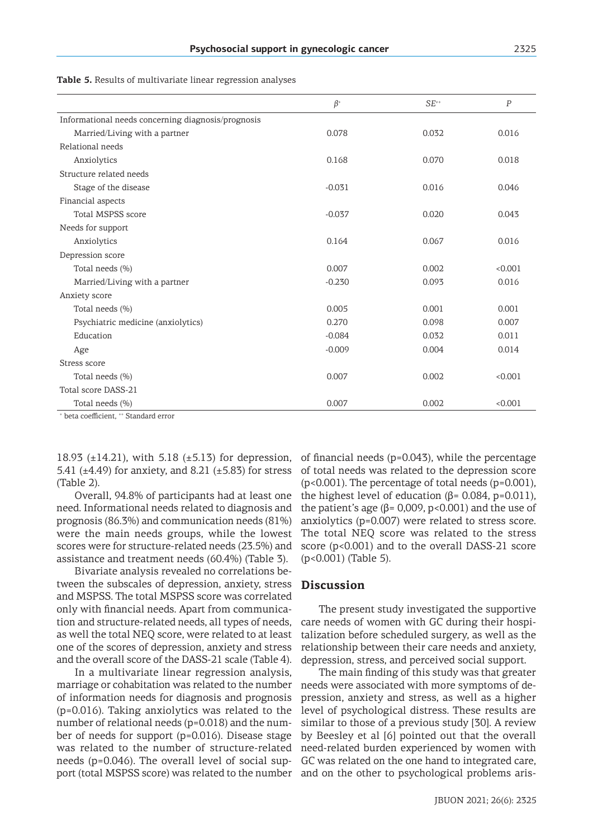| .,<br>e en la | - 1     | e.<br>e en la |               |
|---------------|---------|---------------|---------------|
|               | ۰.<br>v |               | ۰.<br>v<br>M. |

|                                                    | $\beta^*$ | $SE^{++}$ | P       |
|----------------------------------------------------|-----------|-----------|---------|
| Informational needs concerning diagnosis/prognosis |           |           |         |
| Married/Living with a partner                      | 0.078     | 0.032     | 0.016   |
| Relational needs                                   |           |           |         |
| Anxiolytics                                        | 0.168     | 0.070     | 0.018   |
| Structure related needs                            |           |           |         |
| Stage of the disease                               | $-0.031$  | 0.016     | 0.046   |
| Financial aspects                                  |           |           |         |
| Total MSPSS score                                  | $-0.037$  | 0.020     | 0.043   |
| Needs for support                                  |           |           |         |
| Anxiolytics                                        | 0.164     | 0.067     | 0.016   |
| Depression score                                   |           |           |         |
| Total needs (%)                                    | 0.007     | 0.002     | < 0.001 |
| Married/Living with a partner                      | $-0.230$  | 0.093     | 0.016   |
| Anxiety score                                      |           |           |         |
| Total needs (%)                                    | 0.005     | 0.001     | 0.001   |
| Psychiatric medicine (anxiolytics)                 | 0.270     | 0.098     | 0.007   |
| Education                                          | $-0.084$  | 0.032     | 0.011   |
| Age                                                | $-0.009$  | 0.004     | 0.014   |
| Stress score                                       |           |           |         |
| Total needs (%)                                    | 0.007     | 0.002     | < 0.001 |
| Total score DASS-21                                |           |           |         |
| Total needs (%)                                    | 0.007     | 0.002     | < 0.001 |

**Table 5.** Results of multivariate linear regression analyses

+ beta coefficient, ++ Standard error

18.93 (±14.21), with 5.18 (±5.13) for depression, 5.41 ( $\pm$ 4.49) for anxiety, and 8.21 ( $\pm$ 5.83) for stress (Table 2).

Overall, 94.8% of participants had at least one need. Informational needs related to diagnosis and prognosis (86.3%) and communication needs (81%) were the main needs groups, while the lowest scores were for structure-related needs (23.5%) and assistance and treatment needs (60.4%) (Table 3).

Bivariate analysis revealed no correlations between the subscales of depression, anxiety, stress and MSPSS. The total MSPSS score was correlated only with financial needs. Apart from communication and structure-related needs, all types of needs, as well the total NEQ score, were related to at least one of the scores of depression, anxiety and stress and the overall score of the DASS-21 scale (Table 4).

In a multivariate linear regression analysis, marriage or cohabitation was related to the number of information needs for diagnosis and prognosis (p=0.016). Taking anxiolytics was related to the number of relational needs (p=0.018) and the number of needs for support (p=0.016). Disease stage was related to the number of structure-related needs (p=0.046). The overall level of social support (total MSPSS score) was related to the number and on the other to psychological problems aris-

of financial needs (p=0.043), while the percentage of total needs was related to the depression score (p<0.001). The percentage of total needs (p=0.001), the highest level of education ( $β = 0.084$ ,  $p = 0.011$ ), the patient's age ( $β = 0.009$ ,  $p < 0.001$ ) and the use of anxiolytics (p=0.007) were related to stress score. The total NEQ score was related to the stress score (p<0.001) and to the overall DASS-21 score (p<0.001) (Table 5).

# **Discussion**

The present study investigated the supportive care needs of women with GC during their hospitalization before scheduled surgery, as well as the relationship between their care needs and anxiety, depression, stress, and perceived social support.

The main finding of this study was that greater needs were associated with more symptoms of depression, anxiety and stress, as well as a higher level of psychological distress. These results are similar to those of a previous study [30]. A review by Beesley et al [6] pointed out that the overall need-related burden experienced by women with GC was related on the one hand to integrated care,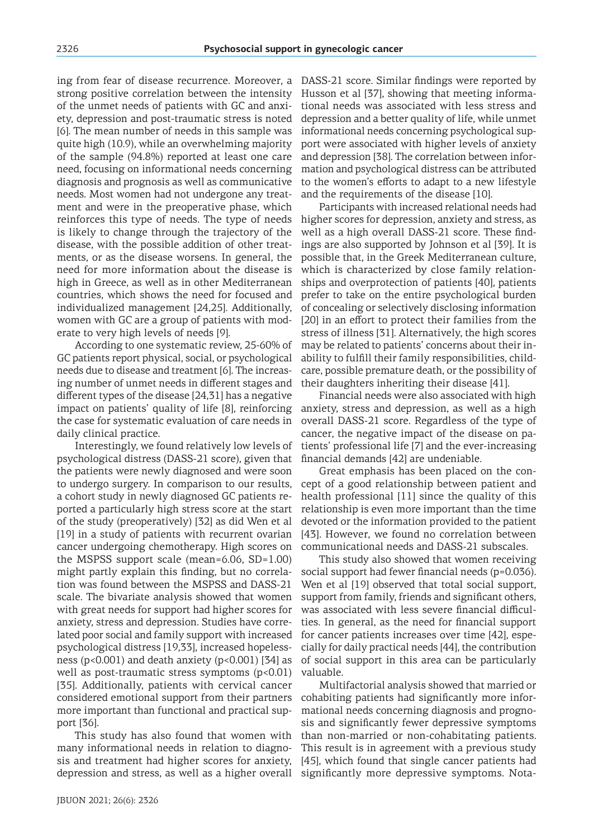ing from fear of disease recurrence. Moreover, a strong positive correlation between the intensity of the unmet needs of patients with GC and anxiety, depression and post-traumatic stress is noted [6]. The mean number of needs in this sample was quite high (10.9), while an overwhelming majority of the sample (94.8%) reported at least one care need, focusing on informational needs concerning diagnosis and prognosis as well as communicative needs. Most women had not undergone any treatment and were in the preoperative phase, which reinforces this type of needs. The type of needs is likely to change through the trajectory of the disease, with the possible addition of other treatments, or as the disease worsens. In general, the need for more information about the disease is high in Greece, as well as in other Mediterranean countries, which shows the need for focused and individualized management [24,25]. Additionally, women with GC are a group of patients with moderate to very high levels of needs [9].

According to one systematic review, 25-60% of GC patients report physical, social, or psychological needs due to disease and treatment [6]. The increasing number of unmet needs in different stages and different types of the disease [24,31] has a negative impact on patients' quality of life [8], reinforcing the case for systematic evaluation of care needs in daily clinical practice.

Interestingly, we found relatively low levels of psychological distress (DASS-21 score), given that the patients were newly diagnosed and were soon to undergo surgery. In comparison to our results, a cohort study in newly diagnosed GC patients reported a particularly high stress score at the start of the study (preoperatively) [32] as did Wen et al [19] in a study of patients with recurrent ovarian cancer undergoing chemotherapy. High scores on the MSPSS support scale (mean=6.06, SD=1.00) might partly explain this finding, but no correlation was found between the MSPSS and DASS-21 scale. The bivariate analysis showed that women with great needs for support had higher scores for anxiety, stress and depression. Studies have correlated poor social and family support with increased psychological distress [19,33], increased hopelessness ( $p$ <0.001) and death anxiety ( $p$ <0.001) [34] as well as post-traumatic stress symptoms (p<0.01) [35]. Additionally, patients with cervical cancer considered emotional support from their partners more important than functional and practical support [36].

This study has also found that women with many informational needs in relation to diagnosis and treatment had higher scores for anxiety, depression and stress, as well as a higher overall

DASS-21 score. Similar findings were reported by Husson et al [37], showing that meeting informational needs was associated with less stress and depression and a better quality of life, while unmet informational needs concerning psychological support were associated with higher levels of anxiety and depression [38]. The correlation between information and psychological distress can be attributed to the women's efforts to adapt to a new lifestyle and the requirements of the disease [10].

Participants with increased relational needs had higher scores for depression, anxiety and stress, as well as a high overall DASS-21 score. These findings are also supported by Johnson et al [39]. It is possible that, in the Greek Mediterranean culture, which is characterized by close family relationships and overprotection of patients [40], patients prefer to take on the entire psychological burden of concealing or selectively disclosing information [20] in an effort to protect their families from the stress of illness [31]. Alternatively, the high scores may be related to patients' concerns about their inability to fulfill their family responsibilities, childcare, possible premature death, or the possibility of their daughters inheriting their disease [41].

Financial needs were also associated with high anxiety, stress and depression, as well as a high overall DASS-21 score. Regardless of the type of cancer, the negative impact of the disease on patients' professional life [7] and the ever-increasing financial demands [42] are undeniable.

Great emphasis has been placed on the concept of a good relationship between patient and health professional [11] since the quality of this relationship is even more important than the time devoted or the information provided to the patient [43]. However, we found no correlation between communicational needs and DASS-21 subscales.

This study also showed that women receiving social support had fewer financial needs (p=0.036). Wen et al [19] observed that total social support, support from family, friends and significant others, was associated with less severe financial difficulties. In general, as the need for financial support for cancer patients increases over time [42], especially for daily practical needs [44], the contribution of social support in this area can be particularly valuable.

Multifactorial analysis showed that married or cohabiting patients had significantly more informational needs concerning diagnosis and prognosis and significantly fewer depressive symptoms than non-married or non-cohabitating patients. This result is in agreement with a previous study [45], which found that single cancer patients had significantly more depressive symptoms. Nota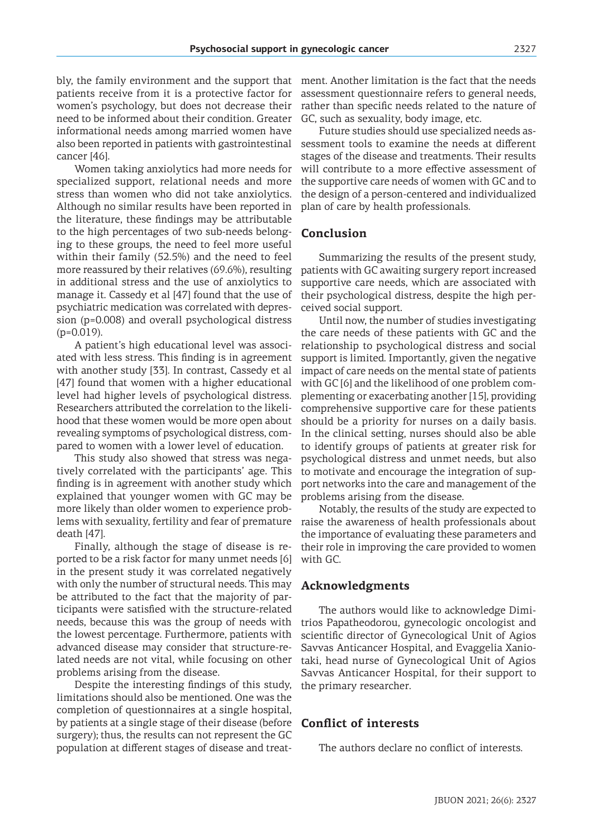bly, the family environment and the support that patients receive from it is a protective factor for women's psychology, but does not decrease their need to be informed about their condition. Greater informational needs among married women have also been reported in patients with gastrointestinal cancer [46].

Women taking anxiolytics had more needs for specialized support, relational needs and more stress than women who did not take anxiolytics. Although no similar results have been reported in the literature, these findings may be attributable to the high percentages of two sub-needs belonging to these groups, the need to feel more useful within their family (52.5%) and the need to feel more reassured by their relatives (69.6%), resulting in additional stress and the use of anxiolytics to manage it. Cassedy et al [47] found that the use of psychiatric medication was correlated with depression (p=0.008) and overall psychological distress  $(p=0.019)$ .

A patient's high educational level was associated with less stress. This finding is in agreement with another study [33]. In contrast, Cassedy et al [47] found that women with a higher educational level had higher levels of psychological distress. Researchers attributed the correlation to the likelihood that these women would be more open about revealing symptoms of psychological distress, compared to women with a lower level of education.

This study also showed that stress was negatively correlated with the participants' age. This finding is in agreement with another study which explained that younger women with GC may be more likely than older women to experience problems with sexuality, fertility and fear of premature death [47].

Finally, although the stage of disease is reported to be a risk factor for many unmet needs [6] in the present study it was correlated negatively with only the number of structural needs. This may be attributed to the fact that the majority of participants were satisfied with the structure-related needs, because this was the group of needs with the lowest percentage. Furthermore, patients with advanced disease may consider that structure-related needs are not vital, while focusing on other problems arising from the disease.

Despite the interesting findings of this study, limitations should also be mentioned. One was the completion of questionnaires at a single hospital, by patients at a single stage of their disease (before surgery); thus, the results can not represent the GC population at different stages of disease and treat-

ment. Another limitation is the fact that the needs assessment questionnaire refers to general needs, rather than specific needs related to the nature of GC, such as sexuality, body image, etc.

Future studies should use specialized needs assessment tools to examine the needs at different stages of the disease and treatments. Their results will contribute to a more effective assessment of the supportive care needs of women with GC and to the design of a person-centered and individualized plan of care by health professionals.

# **Conclusion**

Summarizing the results of the present study, patients with GC awaiting surgery report increased supportive care needs, which are associated with their psychological distress, despite the high perceived social support.

Until now, the number of studies investigating the care needs of these patients with GC and the relationship to psychological distress and social support is limited. Importantly, given the negative impact of care needs on the mental state of patients with GC [6] and the likelihood of one problem complementing or exacerbating another [15], providing comprehensive supportive care for these patients should be a priority for nurses on a daily basis. In the clinical setting, nurses should also be able to identify groups of patients at greater risk for psychological distress and unmet needs, but also to motivate and encourage the integration of support networks into the care and management of the problems arising from the disease.

Notably, the results of the study are expected to raise the awareness of health professionals about the importance of evaluating these parameters and their role in improving the care provided to women with GC.

### **Acknowledgments**

The authors would like to acknowledge Dimitrios Papatheodorou, gynecologic oncologist and scientific director of Gynecological Unit of Agios Savvas Anticancer Hospital, and Evaggelia Xaniotaki, head nurse of Gynecological Unit of Agios Savvas Anticancer Hospital, for their support to the primary researcher.

## **Conflict of interests**

The authors declare no conflict of interests.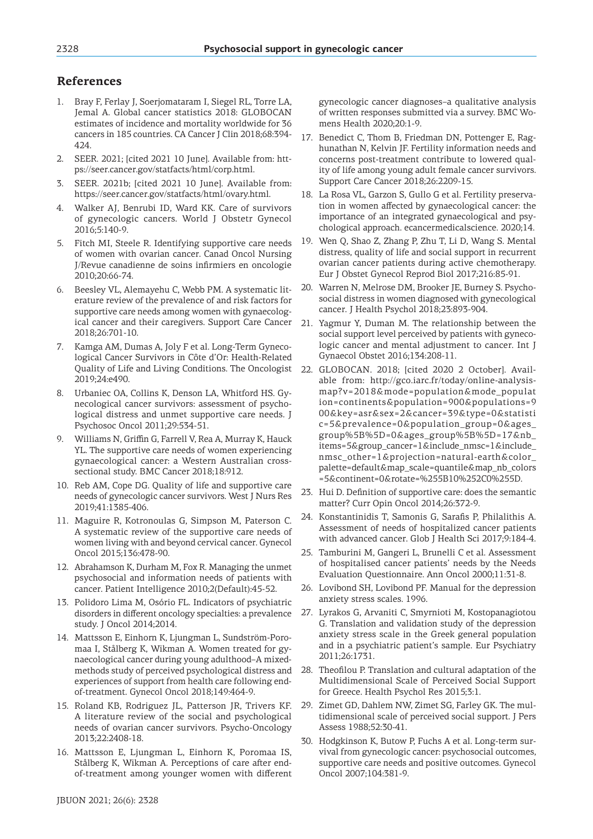# **References**

- 1. Bray F, Ferlay J, Soerjomataram I, Siegel RL, Torre LA, Jemal A. Global cancer statistics 2018: GLOBOCAN estimates of incidence and mortality worldwide for 36 cancers in 185 countries. CA Cancer J Clin 2018;68:394- 424.
- 2. SEER. 2021; [cited 2021 10 June]. Available from: https://seer.cancer.gov/statfacts/html/corp.html.
- 3. SEER. 2021b; [cited 2021 10 June]. Available from: https://seer.cancer.gov/statfacts/html/ovary.html.
- 4. Walker AJ, Benrubi ID, Ward KK. Care of survivors of gynecologic cancers. World J Obstetr Gynecol 2016;5:140-9.
- 5. Fitch MI, Steele R. Identifying supportive care needs of women with ovarian cancer. Canad Oncol Nursing J/Revue canadienne de soins infirmiers en oncologie 2010;20:66-74.
- Beesley VL, Alemayehu C, Webb PM. A systematic literature review of the prevalence of and risk factors for supportive care needs among women with gynaecological cancer and their caregivers. Support Care Cancer 2018;26:701-10.
- 7. Kamga AM, Dumas A, Joly F et al. Long-Term Gynecological Cancer Survivors in Côte d'Or: Health-Related Quality of Life and Living Conditions. The Oncologist 2019;24:e490.
- 8. Urbaniec OA, Collins K, Denson LA, Whitford HS. Gynecological cancer survivors: assessment of psychological distress and unmet supportive care needs. J Psychosoc Oncol 2011;29:534-51.
- 9. Williams N, Griffin G, Farrell V, Rea A, Murray K, Hauck YL. The supportive care needs of women experiencing gynaecological cancer: a Western Australian crosssectional study. BMC Cancer 2018;18:912.
- 10. Reb AM, Cope DG. Quality of life and supportive care needs of gynecologic cancer survivors. West J Nurs Res 2019;41:1385-406.
- 11. Maguire R, Kotronoulas G, Simpson M, Paterson C. A systematic review of the supportive care needs of women living with and beyond cervical cancer. Gynecol Oncol 2015;136:478-90.
- 12. Abrahamson K, Durham M, Fox R. Managing the unmet psychosocial and information needs of patients with cancer. Patient Intelligence 2010;2(Default):45-52.
- 13. Polidoro Lima M, Osório FL. Indicators of psychiatric disorders in different oncology specialties: a prevalence study. J Oncol 2014;2014.
- 14. Mattsson E, Einhorn K, Ljungman L, Sundström-Poromaa I, Stålberg K, Wikman A. Women treated for gynaecological cancer during young adulthood–A mixedmethods study of perceived psychological distress and experiences of support from health care following endof-treatment. Gynecol Oncol 2018;149:464-9.
- 15. Roland KB, Rodriguez JL, Patterson JR, Trivers KF. A literature review of the social and psychological needs of ovarian cancer survivors. Psycho-Oncology 2013;22:2408-18.
- 16. Mattsson E, Ljungman L, Einhorn K, Poromaa IS, Stålberg K, Wikman A. Perceptions of care after endof-treatment among younger women with different

gynecologic cancer diagnoses–a qualitative analysis of written responses submitted via a survey. BMC Womens Health 2020;20:1-9.

- 17. Benedict C, Thom B, Friedman DN, Pottenger E, Raghunathan N, Kelvin JF. Fertility information needs and concerns post-treatment contribute to lowered quality of life among young adult female cancer survivors. Support Care Cancer 2018;26:2209-15.
- 18. La Rosa VL, Garzon S, Gullo G et al. Fertility preservation in women affected by gynaecological cancer: the importance of an integrated gynaecological and psychological approach. ecancermedicalscience. 2020;14.
- 19. Wen Q, Shao Z, Zhang P, Zhu T, Li D, Wang S. Mental distress, quality of life and social support in recurrent ovarian cancer patients during active chemotherapy. Eur J Obstet Gynecol Reprod Biol 2017;216:85-91.
- 20. Warren N, Melrose DM, Brooker JE, Burney S. Psychosocial distress in women diagnosed with gynecological cancer. J Health Psychol 2018;23:893-904.
- 21. Yagmur Y, Duman M. The relationship between the social support level perceived by patients with gynecologic cancer and mental adjustment to cancer. Int J Gynaecol Obstet 2016;134:208-11.
- 22. GLOBOCAN. 2018; [cited 2020 2 October]. Available from: http://gco.iarc.fr/today/online-analysismap?v=2018&mode=population&mode\_populat ion=continents&population=900&populations=9 00&key=asr&sex=2&cancer=39&type=0&statisti c=5&prevalence=0&population\_group=0&ages\_ group%5B%5D=0&ages\_group%5B%5D=17&nb\_ items=5&group\_cancer=1&include\_nmsc=1&include\_ nmsc\_other=1&projection=natural-earth&color\_ palette=default&map\_scale=quantile&map\_nb\_colors =5&continent=0&rotate=%255B10%252C0%255D.
- 23. Hui D. Definition of supportive care: does the semantic matter? Curr Opin Oncol 2014;26:372-9.
- 24. Konstantinidis T, Samonis G, Sarafis P, Philalithis A. Assessment of needs of hospitalized cancer patients with advanced cancer. Glob J Health Sci 2017;9:184-4.
- 25. Tamburini M, Gangeri L, Brunelli C et al. Assessment of hospitalised cancer patients' needs by the Needs Evaluation Questionnaire. Ann Oncol 2000;11:31-8.
- 26. Lovibond SH, Lovibond PF. Manual for the depression anxiety stress scales. 1996.
- 27. Lyrakos G, Arvaniti C, Smyrnioti M, Kostopanagiotou G. Translation and validation study of the depression anxiety stress scale in the Greek general population and in a psychiatric patient's sample. Eur Psychiatry 2011;26:1731.
- 28. Theofilou P. Translation and cultural adaptation of the Multidimensional Scale of Perceived Social Support for Greece. Health Psychol Res 2015;3:1.
- 29. Zimet GD, Dahlem NW, Zimet SG, Farley GK. The multidimensional scale of perceived social support. J Pers Assess 1988;52:30-41.
- 30. Hodgkinson K, Butow P, Fuchs A et al. Long-term survival from gynecologic cancer: psychosocial outcomes, supportive care needs and positive outcomes. Gynecol Oncol 2007;104:381-9.